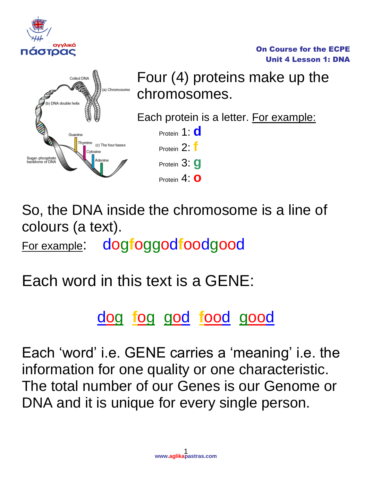



Four (4) proteins make up the chromosomes.

On Course for the ECPE Unit 4 Lesson 1: DNA

Each protein is a letter. For example:

Protein 1: **d** Protein 2: **f** Protein 3: **g** Protein 4: **o**

So, the DNA inside the chromosome is a line of colours (a text). For example: dog**f**oggod**f**oodgood

Each word in this text is a GENE:

dog **f**og god **f**ood good

Each 'word' i.e. GENE carries a 'meaning' i.e. the information for one quality or one characteristic. The total number of our Genes is our Genome or DNA and it is unique for every single person.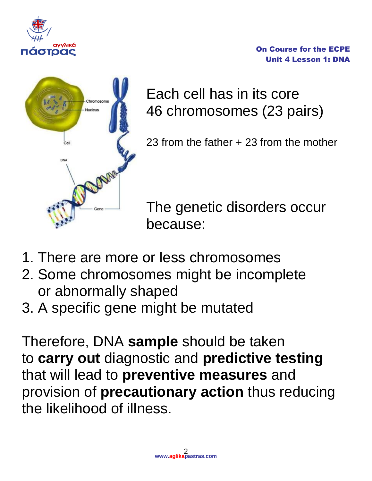

On Course for the ECPE Unit 4 Lesson 1: DNA



Each cell has in its core 46 chromosomes (23 pairs)

23 from the father + 23 from the mother

The genetic disorders occur because:

- 1. There are more or less chromosomes
- 2. Some chromosomes might be incomplete or abnormally shaped
- 3. A specific gene might be mutated

Therefore, DNA **sample** should be taken to **carry out** diagnostic and **predictive testing** that will lead to **preventive measures** and provision of **precautionary action** thus reducing the likelihood of illness.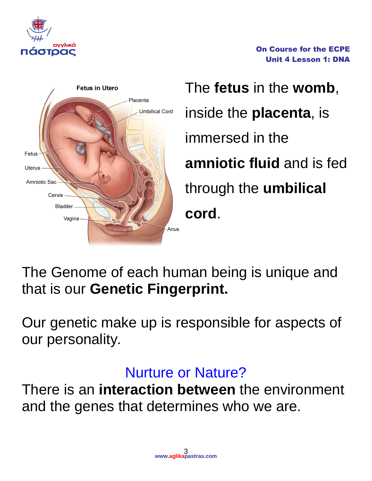

On Course for the ECPE Unit 4 Lesson 1: DNA



The **fetus** in the **womb**, inside the **placenta**, is immersed in the **amniotic fluid** and is fed through the **umbilical cord**.

The Genome of each human being is unique and that is our **Genetic Fingerprint.**

Our genetic make up is responsible for aspects of our personality.

## Nurture or Nature?

There is an **interaction between** the environment and the genes that determines who we are.